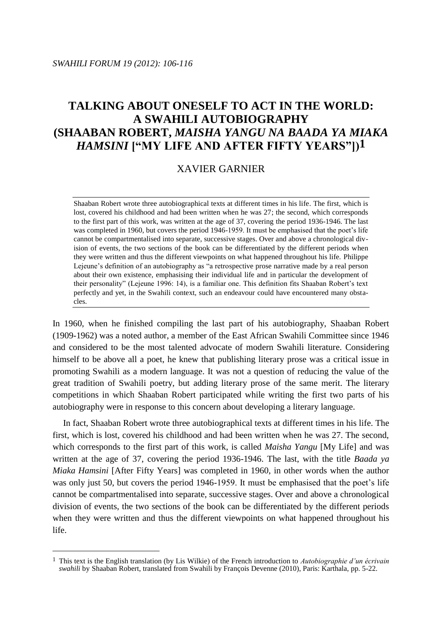$\overline{a}$ 

# **TALKING ABOUT ONESELF TO ACT IN THE WORLD: A SWAHILI AUTOBIOGRAPHY (SHAABAN ROBERT,** *MAISHA YANGU NA BAADA YA MIAKA HAMSINI* **["MY LIFE AND AFTER FIFTY YEARS"])1**

# XAVIER GARNIER

Shaaban Robert wrote three autobiographical texts at different times in his life. The first, which is lost, covered his childhood and had been written when he was 27; the second, which corresponds to the first part of this work, was written at the age of 37, covering the period 1936-1946. The last was completed in 1960, but covers the period 1946-1959. It must be emphasised that the poet's life cannot be compartmentalised into separate, successive stages. Over and above a chronological division of events, the two sections of the book can be differentiated by the different periods when they were written and thus the different viewpoints on what happened throughout his life. Philippe Lejeune's definition of an autobiography as "a retrospective prose narrative made by a real person about their own existence, emphasising their individual life and in particular the development of their personality" (Lejeune 1996: 14), is a familiar one. This definition fits Shaaban Robert's text perfectly and yet, in the Swahili context, such an endeavour could have encountered many obstacles.

In 1960, when he finished compiling the last part of his autobiography, Shaaban Robert (1909-1962) was a noted author, a member of the East African Swahili Committee since 1946 and considered to be the most talented advocate of modern Swahili literature. Considering himself to be above all a poet, he knew that publishing literary prose was a critical issue in promoting Swahili as a modern language. It was not a question of reducing the value of the great tradition of Swahili poetry, but adding literary prose of the same merit. The literary competitions in which Shaaban Robert participated while writing the first two parts of his autobiography were in response to this concern about developing a literary language.

In fact, Shaaban Robert wrote three autobiographical texts at different times in his life. The first, which is lost, covered his childhood and had been written when he was 27. The second, which corresponds to the first part of this work, is called *Maisha Yangu* [My Life] and was written at the age of 37, covering the period 1936-1946. The last, with the title *Baada ya Miaka Hamsini* [After Fifty Years] was completed in 1960, in other words when the author was only just 50, but covers the period 1946-1959. It must be emphasised that the poet's life cannot be compartmentalised into separate, successive stages. Over and above a chronological division of events, the two sections of the book can be differentiated by the different periods when they were written and thus the different viewpoints on what happened throughout his life.

<sup>1</sup> This text is the English translation (by Lis Wilkie) of the French introduction to *Autobiographie d'un écrivain swahili* by Shaaban Robert, translated from Swahili by François Devenne (2010), Paris: Karthala, pp. 5-22.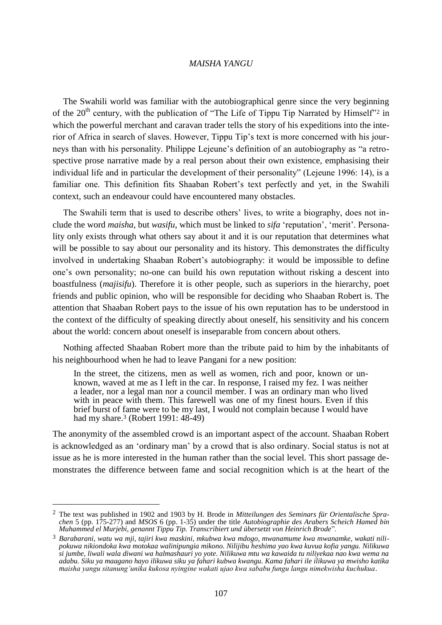The Swahili world was familiar with the autobiographical genre since the very beginning of the  $20<sup>th</sup>$  century, with the publication of "The Life of Tippu Tip Narrated by Himself"<sup>2</sup> in which the powerful merchant and caravan trader tells the story of his expeditions into the interior of Africa in search of slaves. However, Tippu Tip's text is more concerned with his journeys than with his personality. Philippe Lejeune's definition of an autobiography as "a retrospective prose narrative made by a real person about their own existence, emphasising their individual life and in particular the development of their personality" (Lejeune 1996: 14), is a familiar one. This definition fits Shaaban Robert's text perfectly and yet, in the Swahili context, such an endeavour could have encountered many obstacles.

The Swahili term that is used to describe others' lives, to write a biography, does not include the word *maisha*, but *wasifu*, which must be linked to *sifa* 'reputation', 'merit'. Personality only exists through what others say about it and it is our reputation that determines what will be possible to say about our personality and its history. This demonstrates the difficulty involved in undertaking Shaaban Robert's autobiography: it would be impossible to define one's own personality; no-one can build his own reputation without risking a descent into boastfulness (*majisifu*). Therefore it is other people, such as superiors in the hierarchy, poet friends and public opinion, who will be responsible for deciding who Shaaban Robert is. The attention that Shaaban Robert pays to the issue of his own reputation has to be understood in the context of the difficulty of speaking directly about oneself, his sensitivity and his concern about the world: concern about oneself is inseparable from concern about others.

Nothing affected Shaaban Robert more than the tribute paid to him by the inhabitants of his neighbourhood when he had to leave Pangani for a new position:

In the street, the citizens, men as well as women, rich and poor, known or unknown, waved at me as I left in the car. In response, I raised my fez. I was neither a leader, nor a legal man nor a council member. I was an ordinary man who lived with in peace with them. This farewell was one of my finest hours. Even if this brief burst of fame were to be my last, I would not complain because I would have had my share.<sup>3</sup> (Robert 1991: 48-49)

The anonymity of the assembled crowd is an important aspect of the account. Shaaban Robert is acknowledged as an 'ordinary man' by a crowd that is also ordinary. Social status is not at issue as he is more interested in the human rather than the social level. This short passage demonstrates the difference between fame and social recognition which is at the heart of the

<sup>2</sup> The text was published in 1902 and 1903 by H. Brode in *Mitteilungen des Seminars für Orientalische Sprachen* 5 (pp. 175-277) and *MSOS* 6 (pp. 1-35) under the title *Autobiographie des Arabers Scheich Hamed bin Muhammed el Murjebi, genannt Tippu Tip. Transcribiert und übersetzt von Heinrich Brode*".

<sup>3</sup> *Barabarani, watu wa mji, tajiri kwa maskini, mkubwa kwa mdogo, mwanamume kwa mwanamke, wakati nilipokuwa nikiondoka kwa motokaa walinipungia mikono. Nilijibu heshima yao kwa kuvua kofia yangu. Nilikuwa si jumbe, liwali wala diwani wa halmashauri yo yote. Nilikuwa mtu wa kawaida tu niliyekaa nao kwa wema na adabu. Siku ya maagano hayo ilikuwa siku ya fahari kubwa kwangu. Kama fahari ile ilikuwa ya mwisho katika maisha yangu sitanung'unika kukosa nyingine wakati ujao kwa sababu fungu langu nimekwisha kuchukua*.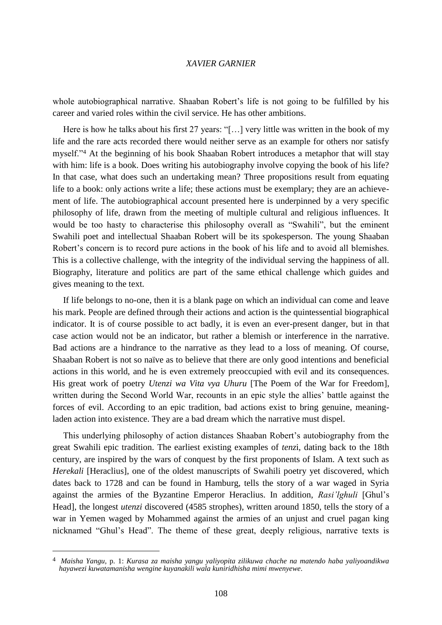whole autobiographical narrative. Shaaban Robert's life is not going to be fulfilled by his career and varied roles within the civil service. He has other ambitions.

Here is how he talks about his first 27 years: "[...] very little was written in the book of my life and the rare acts recorded there would neither serve as an example for others nor satisfy myself."<sup>4</sup> At the beginning of his book Shaaban Robert introduces a metaphor that will stay with him: life is a book. Does writing his autobiography involve copying the book of his life? In that case, what does such an undertaking mean? Three propositions result from equating life to a book: only actions write a life; these actions must be exemplary; they are an achievement of life. The autobiographical account presented here is underpinned by a very specific philosophy of life, drawn from the meeting of multiple cultural and religious influences. It would be too hasty to characterise this philosophy overall as "Swahili", but the eminent Swahili poet and intellectual Shaaban Robert will be its spokesperson. The young Shaaban Robert's concern is to record pure actions in the book of his life and to avoid all blemishes. This is a collective challenge, with the integrity of the individual serving the happiness of all. Biography, literature and politics are part of the same ethical challenge which guides and gives meaning to the text.

If life belongs to no-one, then it is a blank page on which an individual can come and leave his mark. People are defined through their actions and action is the quintessential biographical indicator. It is of course possible to act badly, it is even an ever-present danger, but in that case action would not be an indicator, but rather a blemish or interference in the narrative. Bad actions are a hindrance to the narrative as they lead to a loss of meaning. Of course, Shaaban Robert is not so naïve as to believe that there are only good intentions and beneficial actions in this world, and he is even extremely preoccupied with evil and its consequences. His great work of poetry *Utenzi wa Vita vya Uhuru* [The Poem of the War for Freedom], written during the Second World War, recounts in an epic style the allies' battle against the forces of evil. According to an epic tradition, bad actions exist to bring genuine, meaningladen action into existence. They are a bad dream which the narrative must dispel.

This underlying philosophy of action distances Shaaban Robert's autobiography from the great Swahili epic tradition. The earliest existing examples of *tenz*i, dating back to the 18th century, are inspired by the wars of conquest by the first proponents of Islam. A text such as *Herekali* [Heraclius], one of the oldest manuscripts of Swahili poetry yet discovered, which dates back to 1728 and can be found in Hamburg, tells the story of a war waged in Syria against the armies of the Byzantine Emperor Heraclius. In addition, *Rasi'lghuli* [Ghul's Head], the longest *utenzi* discovered (4585 strophes), written around 1850, tells the story of a war in Yemen waged by Mohammed against the armies of an unjust and cruel pagan king nicknamed "Ghul's Head". The theme of these great, deeply religious, narrative texts is

<sup>4</sup> *Maisha Yangu,* p. 1: *Kurasa za maisha yangu yaliyopita zilikuwa chache na matendo haba yaliyoandikwa hayawezi kuwatamanisha wengine kuyanakili wala kuniridhisha mimi mwenyewe*.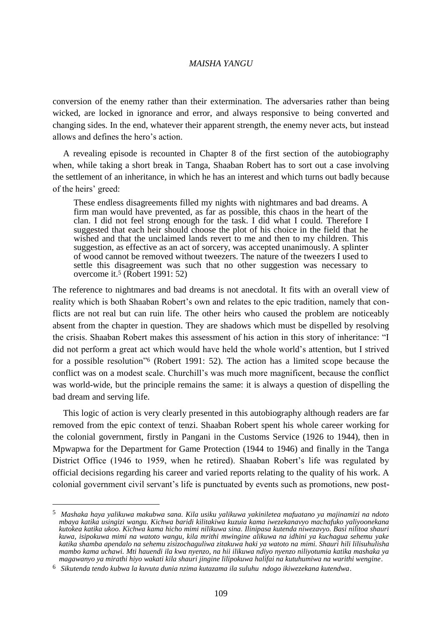conversion of the enemy rather than their extermination. The adversaries rather than being wicked, are locked in ignorance and error, and always responsive to being converted and changing sides. In the end, whatever their apparent strength, the enemy never acts, but instead allows and defines the hero's action.

A revealing episode is recounted in Chapter 8 of the first section of the autobiography when, while taking a short break in Tanga, Shaaban Robert has to sort out a case involving the settlement of an inheritance, in which he has an interest and which turns out badly because of the heirs' greed:

These endless disagreements filled my nights with nightmares and bad dreams. A firm man would have prevented, as far as possible, this chaos in the heart of the clan. I did not feel strong enough for the task. I did what I could. Therefore I suggested that each heir should choose the plot of his choice in the field that he wished and that the unclaimed lands revert to me and then to my children. This suggestion, as effective as an act of sorcery, was accepted unanimously. A splinter of wood cannot be removed without tweezers. The nature of the tweezers I used to settle this disagreement was such that no other suggestion was necessary to overcome it.<sup>5</sup> (Robert 1991: 52)

The reference to nightmares and bad dreams is not anecdotal. It fits with an overall view of reality which is both Shaaban Robert's own and relates to the epic tradition, namely that conflicts are not real but can ruin life. The other heirs who caused the problem are noticeably absent from the chapter in question. They are shadows which must be dispelled by resolving the crisis. Shaaban Robert makes this assessment of his action in this story of inheritance: "I did not perform a great act which would have held the whole world's attention, but I strived for a possible resolution"<sup>6</sup> (Robert 1991: 52). The action has a limited scope because the conflict was on a modest scale. Churchill's was much more magnificent, because the conflict was world-wide, but the principle remains the same: it is always a question of dispelling the bad dream and serving life.

This logic of action is very clearly presented in this autobiography although readers are far removed from the epic context of tenzi. Shaaban Robert spent his whole career working for the colonial government, firstly in Pangani in the Customs Service (1926 to 1944), then in Mpwapwa for the Department for Game Protection (1944 to 1946) and finally in the Tanga District Office (1946 to 1959, when he retired). Shaaban Robert's life was regulated by official decisions regarding his career and varied reports relating to the quality of his work. A colonial government civil servant's life is punctuated by events such as promotions, new post-

<sup>5</sup> *Mashaka haya yalikuwa makubwa sana. Kila usiku yalikuwa yakiniletea mafuatano ya majinamizi na ndoto mbaya katika usingizi wangu. Kichwa baridi kilitakiwa kuzuia kama iwezekanavyo machafuko yaliyoonekana kutokea katika ukoo. Kichwa kama hicho mimi nilikuwa sina. Ilinipasa kutenda niwezavyo. Basi nilitoa shauri kuwa, isipokuwa mimi na watoto wangu, kila mrithi mwingine alikuwa na idhini ya kuchagua sehemu yake katika shamba apendalo na sehemu zisizochaguliwa zitakuwa haki ya watoto na mimi. Shauri hili lilisuhulisha mambo kama uchawi. Mti hauendi ila kwa nyenzo, na hii ilikuwa ndiyo nyenzo niliyotumia katika mashaka ya magawanyo ya mirathi hiyo wakati kila shauri jingine lilipokuwa halifai na kutuhumiwa na warithi wengine*.

<sup>6</sup> *Sikutenda tendo kubwa la kuvuta dunia nzima kutazama ila suluhu ndogo ikiwezekana kutendwa*.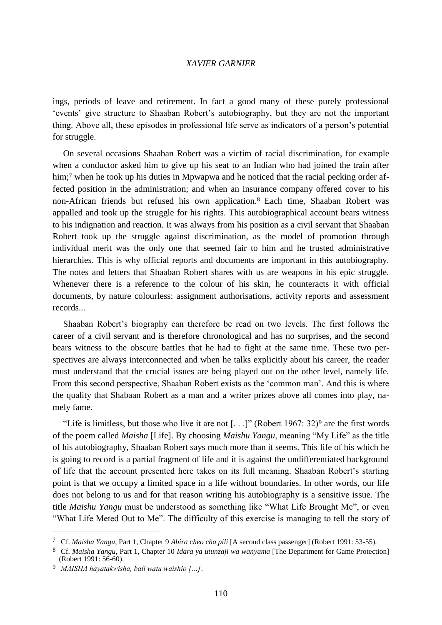ings, periods of leave and retirement. In fact a good many of these purely professional 'events' give structure to Shaaban Robert's autobiography, but they are not the important thing. Above all, these episodes in professional life serve as indicators of a person's potential for struggle.

On several occasions Shaaban Robert was a victim of racial discrimination, for example when a conductor asked him to give up his seat to an Indian who had joined the train after him;<sup>7</sup> when he took up his duties in Mpwapwa and he noticed that the racial pecking order affected position in the administration; and when an insurance company offered cover to his non-African friends but refused his own application.<sup>8</sup> Each time, Shaaban Robert was appalled and took up the struggle for his rights. This autobiographical account bears witness to his indignation and reaction. It was always from his position as a civil servant that Shaaban Robert took up the struggle against discrimination, as the model of promotion through individual merit was the only one that seemed fair to him and he trusted administrative hierarchies. This is why official reports and documents are important in this autobiography. The notes and letters that Shaaban Robert shares with us are weapons in his epic struggle. Whenever there is a reference to the colour of his skin, he counteracts it with official documents, by nature colourless: assignment authorisations, activity reports and assessment records...

Shaaban Robert's biography can therefore be read on two levels. The first follows the career of a civil servant and is therefore chronological and has no surprises, and the second bears witness to the obscure battles that he had to fight at the same time. These two perspectives are always interconnected and when he talks explicitly about his career, the reader must understand that the crucial issues are being played out on the other level, namely life. From this second perspective, Shaaban Robert exists as the 'common man'. And this is where the quality that Shabaan Robert as a man and a writer prizes above all comes into play, namely fame.

"Life is limitless, but those who live it are not  $[...]$ " (Robert 1967: 32)<sup>9</sup> are the first words of the poem called *Maisha* [Life]. By choosing *Maishu Yangu*, meaning "My Life" as the title of his autobiography, Shaaban Robert says much more than it seems. This life of his which he is going to record is a partial fragment of life and it is against the undifferentiated background of life that the account presented here takes on its full meaning. Shaaban Robert's starting point is that we occupy a limited space in a life without boundaries. In other words, our life does not belong to us and for that reason writing his autobiography is a sensitive issue. The title *Maishu Yangu* must be understood as something like "What Life Brought Me", or even "What Life Meted Out to Me". The difficulty of this exercise is managing to tell the story of

<sup>7</sup> Cf. *Maisha Yangu,* Part 1, Chapter 9 *Abira cheo cha pili* [A second class passenger] (Robert 1991: 53-55).

<sup>8</sup> Cf. *Maisha Yangu,* Part 1, Chapter 10 *Idara ya utunzaji wa wanyama* [The Department for Game Protection] (Robert 1991: 56-60).

<sup>9</sup> *MAISHA hayatakwisha, bali watu waishio […]*.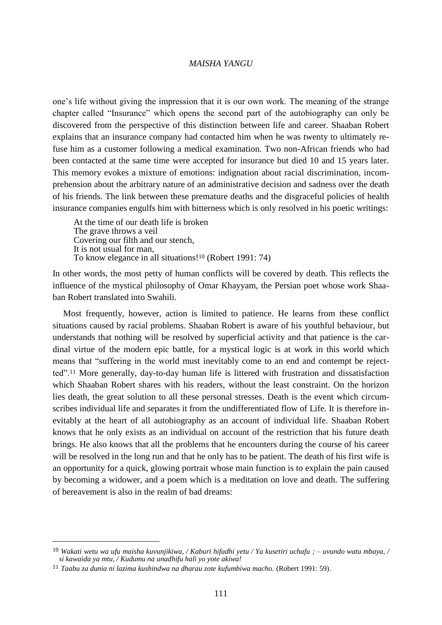one's life without giving the impression that it is our own work. The meaning of the strange chapter called "Insurance" which opens the second part of the autobiography can only be discovered from the perspective of this distinction between life and career. Shaaban Robert explains that an insurance company had contacted him when he was twenty to ultimately refuse him as a customer following a medical examination. Two non-African friends who had been contacted at the same time were accepted for insurance but died 10 and 15 years later. This memory evokes a mixture of emotions: indignation about racial discrimination, incomprehension about the arbitrary nature of an administrative decision and sadness over the death of his friends. The link between these premature deaths and the disgraceful policies of health insurance companies engulfs him with bitterness which is only resolved in his poetic writings:

At the time of our death life is broken The grave throws a veil Covering our filth and our stench, It is not usual for man, To know elegance in all situations!<sup>10</sup> (Robert 1991: 74)

In other words, the most petty of human conflicts will be covered by death. This reflects the influence of the mystical philosophy of Omar Khayyam, the Persian poet whose work Shaaban Robert translated into Swahili.

Most frequently, however, action is limited to patience. He learns from these conflict situations caused by racial problems. Shaaban Robert is aware of his youthful behaviour, but understands that nothing will be resolved by superficial activity and that patience is the cardinal virtue of the modern epic battle, for a mystical logic is at work in this world which means that "suffering in the world must inevitably come to an end and contempt be rejectted".<sup>11</sup> More generally, day-to-day human life is littered with frustration and dissatisfaction which Shaaban Robert shares with his readers, without the least constraint. On the horizon lies death, the great solution to all these personal stresses. Death is the event which circumscribes individual life and separates it from the undifferentiated flow of Life. It is therefore inevitably at the heart of all autobiography as an account of individual life. Shaaban Robert knows that he only exists as an individual on account of the restriction that his future death brings. He also knows that all the problems that he encounters during the course of his career will be resolved in the long run and that he only has to be patient. The death of his first wife is an opportunity for a quick, glowing portrait whose main function is to explain the pain caused by becoming a widower, and a poem which is a meditation on love and death. The suffering of bereavement is also in the realm of bad dreams:

<sup>10</sup> *Wakati wetu wa ufu maisha kuvunjikiwa, / Kaburi hifadhi yetu / Ya kusetiri uchafu ; – uvundo watu mbaya, / si kawaida ya mtu, / Kudumu na unadhifu hali yo yote akiwa!*

<sup>11</sup> *Taabu za dunia ni lazima kushindwa na dharau zote kufumbiwa macho.* (Robert 1991: 59).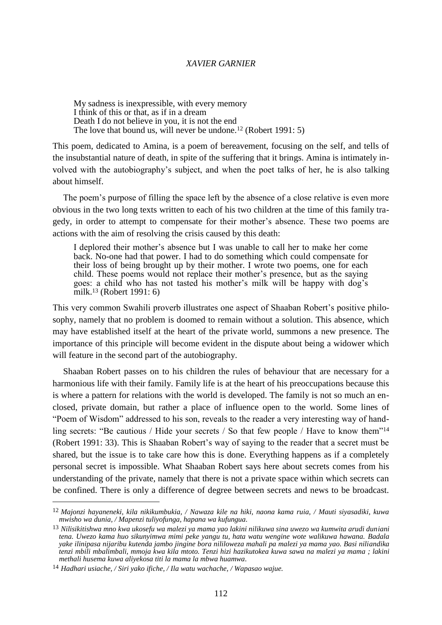My sadness is inexpressible, with every memory I think of this or that, as if in a dream Death I do not believe in you, it is not the end The love that bound us, will never be undone.<sup>12</sup> (Robert 1991: 5)

This poem, dedicated to Amina, is a poem of bereavement, focusing on the self, and tells of the insubstantial nature of death, in spite of the suffering that it brings. Amina is intimately involved with the autobiography's subject, and when the poet talks of her, he is also talking about himself.

The poem's purpose of filling the space left by the absence of a close relative is even more obvious in the two long texts written to each of his two children at the time of this family tragedy, in order to attempt to compensate for their mother's absence. These two poems are actions with the aim of resolving the crisis caused by this death:

I deplored their mother's absence but I was unable to call her to make her come back. No-one had that power. I had to do something which could compensate for their loss of being brought up by their mother. I wrote two poems, one for each child. These poems would not replace their mother's presence, but as the saying goes: a child who has not tasted his mother's milk will be happy with dog's milk.<sup>13</sup> (Robert 1991: 6)

This very common Swahili proverb illustrates one aspect of Shaaban Robert's positive philosophy, namely that no problem is doomed to remain without a solution. This absence, which may have established itself at the heart of the private world, summons a new presence. The importance of this principle will become evident in the dispute about being a widower which will feature in the second part of the autobiography.

Shaaban Robert passes on to his children the rules of behaviour that are necessary for a harmonious life with their family. Family life is at the heart of his preoccupations because this is where a pattern for relations with the world is developed. The family is not so much an enclosed, private domain, but rather a place of influence open to the world. Some lines of "Poem of Wisdom" addressed to his son, reveals to the reader a very interesting way of handling secrets: "Be cautious / Hide your secrets / So that few people / Have to know them"<sup>14</sup> (Robert 1991: 33). This is Shaaban Robert's way of saying to the reader that a secret must be shared, but the issue is to take care how this is done. Everything happens as if a completely personal secret is impossible. What Shaaban Robert says here about secrets comes from his understanding of the private, namely that there is not a private space within which secrets can be confined. There is only a difference of degree between secrets and news to be broadcast.

<sup>12</sup> *Majonzi hayaneneki, kila nikikumbukia, / Nawaza kile na hiki, naona kama ruia, / Mauti siyasadiki, kuwa mwisho wa dunia, / Mapenzi tuliyofunga, hapana wa kufungua.*

<sup>13</sup> *Nilisikitishwa mno kwa ukosefu wa malezi ya mama yao lakini nilikuwa sina uwezo wa kumwita arudi duniani tena. Uwezo kama huo sikunyimwa mimi peke yangu tu, hata watu wengine wote walikuwa hawana. Badala yake ilinipasa nijaribu kutenda jambo jingine bora nililoweza mahali pa malezi ya mama yao. Basi niliandika tenzi mbili mbalimbali, mmoja kwa kila mtoto. Tenzi hizi hazikutokea kuwa sawa na malezi ya mama ; lakini methali husema kuwa aliyekosa titi la mama la mbwa huamwa.*

<sup>14</sup> *Hadhari usiache, / Siri yako ifiche, / Ila watu wachache, / Wapasao wajue.*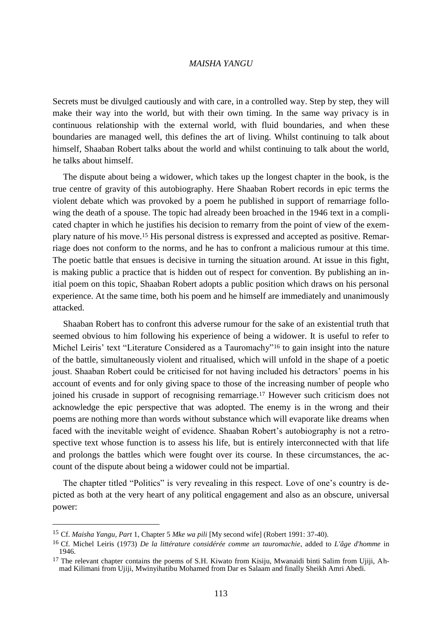Secrets must be divulged cautiously and with care, in a controlled way. Step by step, they will make their way into the world, but with their own timing. In the same way privacy is in continuous relationship with the external world, with fluid boundaries, and when these boundaries are managed well, this defines the art of living. Whilst continuing to talk about himself, Shaaban Robert talks about the world and whilst continuing to talk about the world, he talks about himself.

The dispute about being a widower, which takes up the longest chapter in the book, is the true centre of gravity of this autobiography. Here Shaaban Robert records in epic terms the violent debate which was provoked by a poem he published in support of remarriage following the death of a spouse. The topic had already been broached in the 1946 text in a complicated chapter in which he justifies his decision to remarry from the point of view of the exemplary nature of his move.<sup>15</sup> His personal distress is expressed and accepted as positive. Remarriage does not conform to the norms, and he has to confront a malicious rumour at this time. The poetic battle that ensues is decisive in turning the situation around. At issue in this fight, is making public a practice that is hidden out of respect for convention. By publishing an initial poem on this topic, Shaaban Robert adopts a public position which draws on his personal experience. At the same time, both his poem and he himself are immediately and unanimously attacked.

Shaaban Robert has to confront this adverse rumour for the sake of an existential truth that seemed obvious to him following his experience of being a widower. It is useful to refer to Michel Leiris' text "Literature Considered as a Tauromachy"<sup>16</sup> to gain insight into the nature of the battle, simultaneously violent and ritualised, which will unfold in the shape of a poetic joust. Shaaban Robert could be criticised for not having included his detractors' poems in his account of events and for only giving space to those of the increasing number of people who joined his crusade in support of recognising remarriage.<sup>17</sup> However such criticism does not acknowledge the epic perspective that was adopted. The enemy is in the wrong and their poems are nothing more than words without substance which will evaporate like dreams when faced with the inevitable weight of evidence. Shaaban Robert's autobiography is not a retrospective text whose function is to assess his life, but is entirely interconnected with that life and prolongs the battles which were fought over its course. In these circumstances, the account of the dispute about being a widower could not be impartial.

The chapter titled "Politics" is very revealing in this respect. Love of one's country is depicted as both at the very heart of any political engagement and also as an obscure, universal power:

<sup>15</sup> Cf. *Maisha Yangu, Part* 1, Chapter 5 *Mke wa pili* [My second wife] (Robert 1991: 37-40).

<sup>16</sup> Cf. Michel Leiris (1973) *De la littérature considérée comme un tauromachie*, added to *L'âge d'homme* in 1946.

<sup>&</sup>lt;sup>17</sup> The relevant chapter contains the poems of S.H. Kiwato from Kisiju, Mwanaidi binti Salim from Ujiji, Ahmad Kilimani from Ujiji, Mwinyihatibu Mohamed from Dar es Salaam and finally Sheikh Amri Abedi.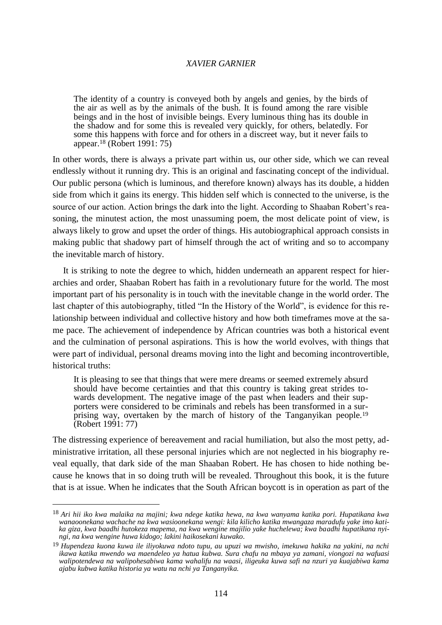The identity of a country is conveyed both by angels and genies, by the birds of the air as well as by the animals of the bush. It is found among the rare visible beings and in the host of invisible beings. Every luminous thing has its double in the shadow and for some this is revealed very quickly, for others, belatedly. For some this happens with force and for others in a discreet way, but it never fails to appear.<sup>18</sup> (Robert 1991: 75)

In other words, there is always a private part within us, our other side, which we can reveal endlessly without it running dry. This is an original and fascinating concept of the individual. Our public persona (which is luminous, and therefore known) always has its double, a hidden side from which it gains its energy. This hidden self which is connected to the universe, is the source of our action. Action brings the dark into the light. According to Shaaban Robert's reasoning, the minutest action, the most unassuming poem, the most delicate point of view, is always likely to grow and upset the order of things. His autobiographical approach consists in making public that shadowy part of himself through the act of writing and so to accompany the inevitable march of history.

It is striking to note the degree to which, hidden underneath an apparent respect for hierarchies and order, Shaaban Robert has faith in a revolutionary future for the world. The most important part of his personality is in touch with the inevitable change in the world order. The last chapter of this autobiography, titled "In the History of the World", is evidence for this relationship between individual and collective history and how both timeframes move at the same pace. The achievement of independence by African countries was both a historical event and the culmination of personal aspirations. This is how the world evolves, with things that were part of individual, personal dreams moving into the light and becoming incontrovertible, historical truths:

It is pleasing to see that things that were mere dreams or seemed extremely absurd should have become certainties and that this country is taking great strides towards development. The negative image of the past when leaders and their supporters were considered to be criminals and rebels has been transformed in a surprising way, overtaken by the march of history of the Tanganyikan people.<sup>19</sup> (Robert 1991: 77)

The distressing experience of bereavement and racial humiliation, but also the most petty, administrative irritation, all these personal injuries which are not neglected in his biography reveal equally, that dark side of the man Shaaban Robert. He has chosen to hide nothing because he knows that in so doing truth will be revealed. Throughout this book, it is the future that is at issue. When he indicates that the South African boycott is in operation as part of the

<sup>18</sup> *Ari hii iko kwa malaika na majini; kwa ndege katika hewa, na kwa wanyama katika pori. Hupatikana kwa wanaoonekana wachache na kwa wasioonekana wengi: kila kilicho katika mwangaza maradufu yake imo katika giza, kwa baadhi hutokeza mapema, na kwa wengine majilio yake huchelewa; kwa baadhi hupatikana nyingi, na kwa wengine huwa kidogo; lakini haikosekani kuwako.*

<sup>19</sup> *Hupendeza kuona kuwa ile iliyokuwa ndoto tupu, au upuzi wa mwisho, imekuwa hakika na yakini, na nchi ikawa katika mwendo wa maendeleo ya hatua kubwa. Sura chafu na mbaya ya zamani, viongozi na wafuasi walipotendewa na walipohesabiwa kama wahalifu na waasi, iligeuka kuwa safi na nzuri ya kuajabiwa kama ajabu kubwa katika historia ya watu na nchi ya Tanganyika.*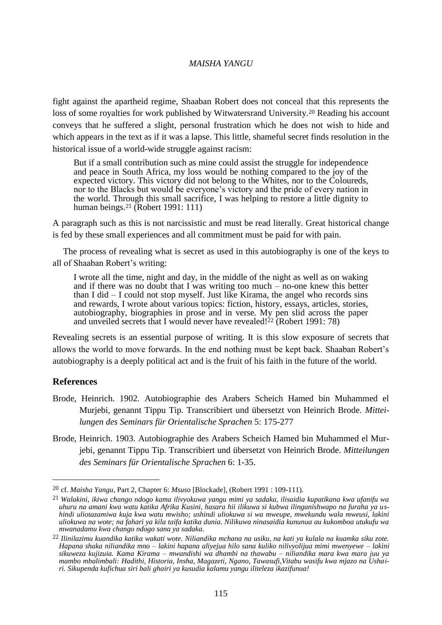fight against the apartheid regime, Shaaban Robert does not conceal that this represents the loss of some royalties for work published by Witwatersrand University.<sup>20</sup> Reading his account conveys that he suffered a slight, personal frustration which he does not wish to hide and which appears in the text as if it was a lapse. This little, shameful secret finds resolution in the historical issue of a world-wide struggle against racism:

But if a small contribution such as mine could assist the struggle for independence and peace in South Africa, my loss would be nothing compared to the joy of the expected victory. This victory did not belong to the Whites, nor to the Coloureds, nor to the Blacks but would be everyone's victory and the pride of every nation in the world. Through this small sacrifice, I was helping to restore a little dignity to human beings.<sup>21</sup> (Robert 1991: 111)

A paragraph such as this is not narcissistic and must be read literally. Great historical change is fed by these small experiences and all commitment must be paid for with pain.

The process of revealing what is secret as used in this autobiography is one of the keys to all of Shaaban Robert's writing:

I wrote all the time, night and day, in the middle of the night as well as on waking and if there was no doubt that I was writing too much – no-one knew this better than I did  $-$  I could not stop myself. Just like Kirama, the angel who records sins and rewards, I wrote about various topics: fiction, history, essays, articles, stories, autobiography, biographies in prose and in verse. My pen slid across the paper and unveiled secrets that I would never have revealed! $^{22}$  (Robert 1991: 78)

Revealing secrets is an essential purpose of writing. It is this slow exposure of secrets that allows the world to move forwards. In the end nothing must be kept back. Shaaban Robert's autobiography is a deeply political act and is the fruit of his faith in the future of the world.

# **References**

- Brode, Heinrich. 1902. Autobiographie des Arabers Scheich Hamed bin Muhammed el Murjebi, genannt Tippu Tip. Transcribiert und übersetzt von Heinrich Brode. *Mitteilungen des Seminars für Orientalische Sprachen* 5: 175-277
- Brode, Heinrich. 1903. Autobiographie des Arabers Scheich Hamed bin Muhammed el Murjebi, genannt Tippu Tip. Transcribiert und übersetzt von Heinrich Brode. *Mitteilungen des Seminars für Orientalische Sprachen* 6: 1-35.

<sup>20</sup> cf. *Maisha Yangu,* Part 2, Chapter 6: *Msus*o [Blockade], (Robert 1991 : 109-111).

<sup>21</sup> *Walakini, ikiwa chango ndogo kama ilivyokuwa yangu mimi ya sadaka, ilisaidia kupatikana kwa ufanifu wa uhuru na amani kwa watu katika Afrika Kusini, hasara hii ilikuwa si kubwa ilinganishwapo na furaha ya ushindi uliotazamiwa kuja kwa watu mwisho; ushindi uliokuwa si wa mweupe, mwekundu wala mweusi, lakini uliokuwa na wote; na fahari ya kila taifa katika dunia. Nilikuwa ninasaidia kununua au kukomboa utukufu wa mwanadamu kwa chango ndogo sana ya sadaka.*

<sup>22</sup> *Ilinilazimu kuandika katika wakati wote. Niliandika mchana na usiku, na kati ya kulala na kuamka siku zote. Hapana shaka niliandika mno – lakini hapana aliyejua hilo sana kuliko nilivyolijua mimi mwenyewe – lakini sikuweza kujizuia. Kama Kirama – mwandishi wa dhambi na thawabu – niliandika mara kwa mara juu ya mambo mbalimbali: Hadithi, Historia, Insha, Magazeti, Ngano, Tawasufi,Vitabu wasifu kwa mjazo na Ushairi. Sikupenda kufichua siri bali ghairi ya kusudia kalamu yangu iliteleza ikazifunua!*